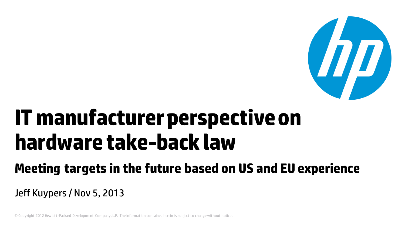

# **IT manufacturer perspective on hardware take-back law**

### **Meeting targets in the future based on US and EU experience**

Jeff Kuypers / Nov 5, 2013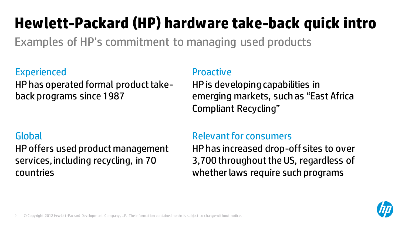## **Hewlett-Packard (HP) hardware take-back quick intro**

Examples of HP's commitment to managing used products

#### **Experienced**

HP has operated formal product takeback programs since 1987

#### Global

HP offers used product management services, including recycling, in 70 countries

#### **Proactive**

HP is developing capabilities in emerging markets, such as "East Africa Compliant Recycling"

#### Relevant for consumers

HP has increased drop-off sites to over 3,700 throughout the US, regardless of whether laws require such programs

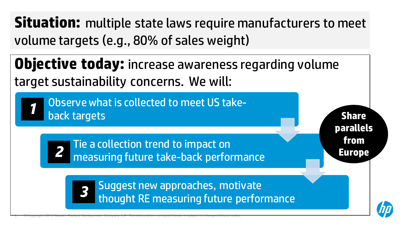**Situation:** multiple state laws require manufacturers to meet volume targets (e.g., 80% of sales weight)

**Objective today:** increase awareness regarding volume target sustainability concerns. We will:

Observe what is collected to meet US takeback targets *1*

> Tie a collection trend to impact on measuring future take-back performance

> > Suggest new approaches, motivate thought RE measuring future performance

**Share parallels from Europe**



3 © Copyright 2012 Hewlett-Packard Development Company, L.P. The information contained herein is subject to change without notice.

*2*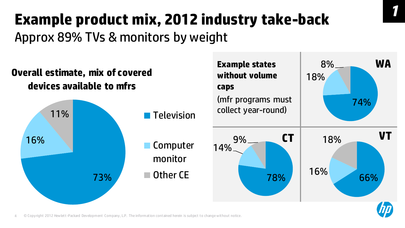### **Example product mix, 2012 industry take-back** Approx 89% TVs & monitors by weight

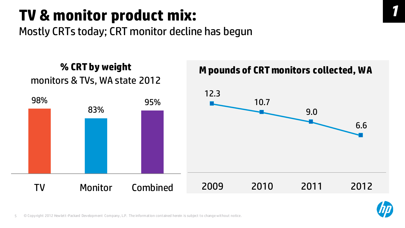### **TV & monitor product mix:**

Mostly CRTs today; CRT monitor decline has begun



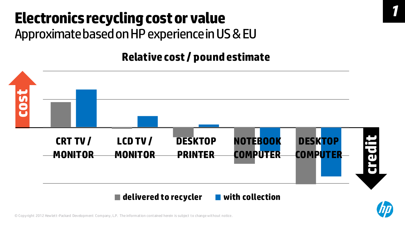### **Electronics recycling cost or value** Approximate based on HP experience in US & EU

#### **Relative cost / pound estimate**







*1*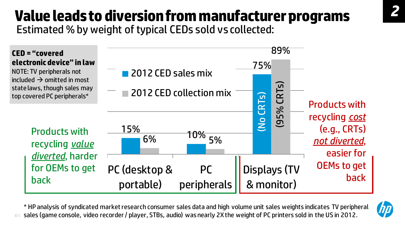#### **Value leads to diversion from manufacturer programs** Estimated % by weight of typical CEDs sold vs collected:

 $\frac{15\%}{6\%}$  10% 75%  $6\%$   $10\%$  5% 89% PC (desktop & portable) PC peripherals Displays (TV & monitor) 2012 CED sales mix 2012 CED collection mix (95% CRTs) (No CRTs) Products with recycling *value diverted*, harder for OEMs to get back Products with recycling *cost* (e.g., CRTs) *not diverted*, easier for OEMs to get back **CED = "covered electronic device" in law** NOTE: TV peripherals not  $included \rightarrow omitted$  in most state laws, though sales may top covered PC peripherals\*

© sales (game console, video recorder / player, STBs, audio) wasnearly 2X the weight of PC printers sold in the US in 2012. \* HP analysis of syndicated market research consumer sales data and high volume unit sales weights indicates TV peripheral

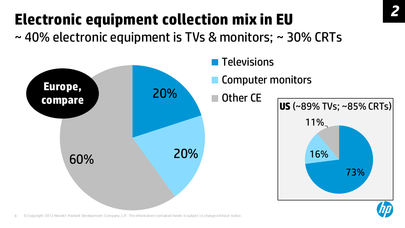# **Electronic equipment collection mix in EU**

~ 40% electronic equipment is TVs & monitors; ~ 30% CRTs

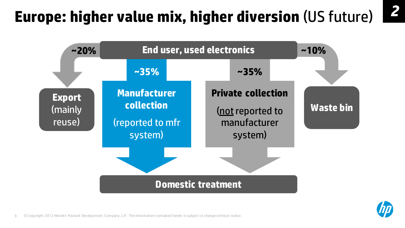### **Europe: higher value mix, higher diversion** (US future)





*2*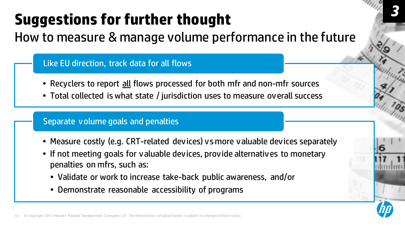# **Suggestions for further thought**

How to measure & manage volume performance in the future

Like EU direction, track data for all flows

- Recyclers to report all flows processed for both mfr and non-mfr sources
- Total collected is what state / jurisdiction uses to measure overall success

#### Separate volume goals and penalties

- Measure costly (e.g. CRT-related devices) vsmore valuable devices separately
- If not meeting goals for valuable devices, provide alternatives to monetary penalties on mfrs, such as:
	- Validate or work to increase take-back public awareness, and/or
	- Demonstrate reasonable accessibility of programs